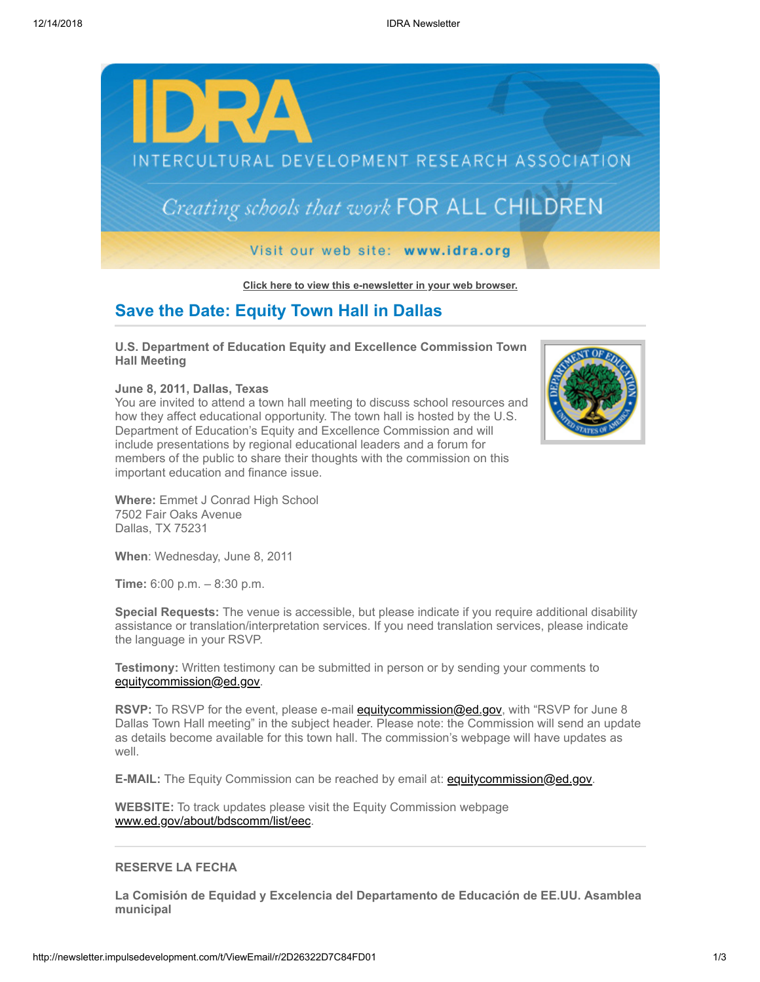

**[Click here to view this e-newsletter in your web browser.](http://newsletter.impulsedevelopment.com/t/r/e/jdxidk/l/)**

## **Save the Date: Equity Town Hall in Dallas**

**U.S. Department of Education Equity and Excellence Commission Town Hall Meeting**

**June 8, 2011, Dallas, Texas** 

You are invited to attend a town hall meeting to discuss school resources and how they affect educational opportunity. The town hall is hosted by the U.S. Department of Education's Equity and Excellence Commission and will include presentations by regional educational leaders and a forum for members of the public to share their thoughts with the commission on this important education and finance issue.



**Where:** Emmet J Conrad High School 7502 Fair Oaks Avenue Dallas, TX 75231

**When**: Wednesday, June 8, 2011

**Time:** 6:00 p.m. – 8:30 p.m.

**Special Requests:** The venue is accessible, but please indicate if you require additional disability assistance or translation/interpretation services. If you need translation services, please indicate the language in your RSVP.

**Testimony:** Written testimony can be submitted in person or by sending your comments to [equitycommission@ed.gov.](mailto:equitycommission@ed.gov)

**RSVP:** To RSVP for the event, please e-mail **equitycommission@ed.gov**, with "RSVP for June 8 Dallas Town Hall meeting" in the subject header. Please note: the Commission will send an update as details become available for this town hall. The commission's webpage will have updates as well.

**E-MAIL:** The Equity Commission can be reached by email at: **equitycommission@ed.gov.** 

**WEBSITE:** To track updates please visit the Equity Commission webpage [www.ed.gov/about/bdscomm/list/eec](http://newsletter.impulsedevelopment.com/t/r/l/jdxidk/l/y/).

## **RESERVE LA FECHA**

**La Comisión de Equidad y Excelencia del Departamento de Educación de EE.UU. Asamblea municipal**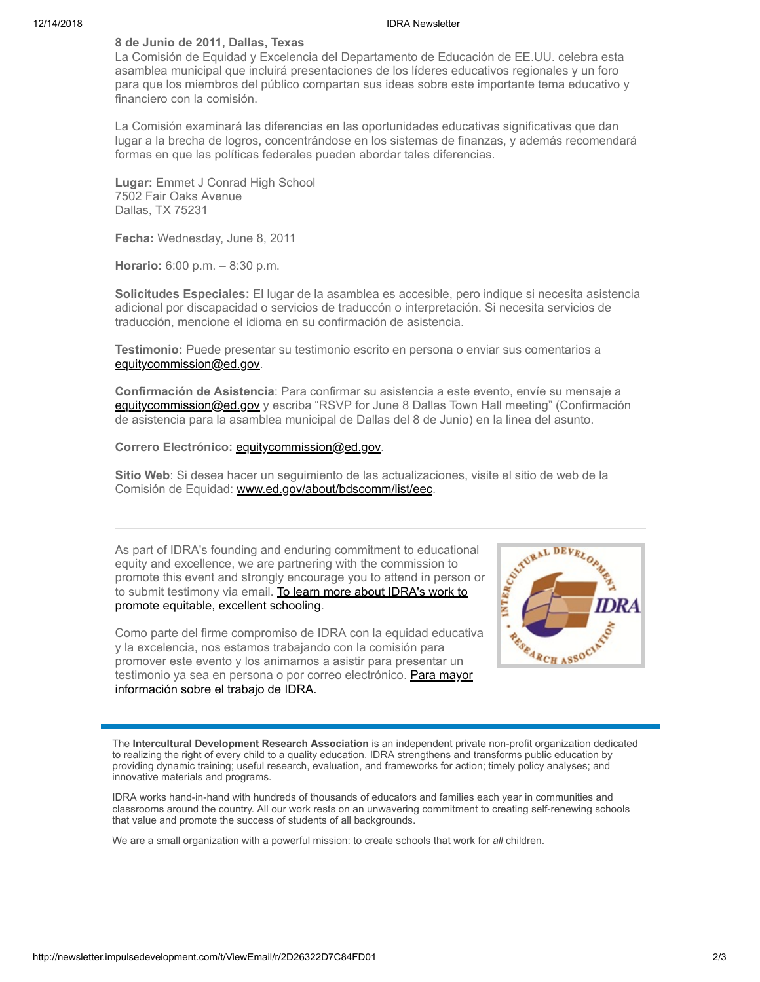## 12/14/2018 IDRA Newsletter

## **8 de Junio de 2011, Dallas, Texas**

La Comisión de Equidad y Excelencia del Departamento de Educación de EE.UU. celebra esta asamblea municipal que incluirá presentaciones de los líderes educativos regionales y un foro para que los miembros del público compartan sus ideas sobre este importante tema educativo y financiero con la comisión.

La Comisión examinará las diferencias en las oportunidades educativas significativas que dan lugar a la brecha de logros, concentrándose en los sistemas de finanzas, y además recomendará formas en que las políticas federales pueden abordar tales diferencias.

**Lugar:** Emmet J Conrad High School 7502 Fair Oaks Avenue Dallas, TX 75231

**Fecha:** Wednesday, June 8, 2011

**Horario:** 6:00 p.m. – 8:30 p.m.

**Solicitudes Especiales:** El lugar de la asamblea es accesible, pero indique si necesita asistencia adicional por discapacidad o servicios de traduccón o interpretación. Si necesita servicios de traducción, mencione el idioma en su confirmación de asistencia.

**Testimonio:** Puede presentar su testimonio escrito en persona o enviar sus comentarios a [equitycommission@ed.gov.](mailto:equitycommission@ed.gov)

**Confirmación de Asistencia**: Para confirmar su asistencia a este evento, envíe su mensaje a [equitycommission@ed.gov](mailto:equitycommission@ed.gov) y escriba "RSVP for June 8 Dallas Town Hall meeting" (Confirmación de asistencia para la asamblea municipal de Dallas del 8 de Junio) en la linea del asunto.

**Correro Electrónico:** [equitycommission@ed.gov.](mailto:equitycommission@ed.gov)

**Sitio Web**: Si desea hacer un seguimiento de las actualizaciones, visite el sitio de web de la Comisión de Equidad: [www.ed.gov/about/bdscomm/list/eec](http://newsletter.impulsedevelopment.com/t/r/l/jdxidk/l/j/).

As part of IDRA's founding and enduring commitment to educational equity and excellence, we are partnering with the commission to promote this event and strongly encourage you to attend in person or promote this event and strongly encourage you to attend in person or to submit testimony via email. To learn more about IDRA's work to promote equitable, [to submit testimony via email. To learn more about IDRA's work to](http://newsletter.impulsedevelopment.com/t/r/l/jdxidk/l/d/) promote equitable, excellent schooling.

Como parte del firme compromiso de IDRA con la equidad educativa y la excelencia, nos estamos trabajando con la comisión para promover este evento y los animamos a asistir para presentar un [testimonio ya sea en persona o por correo electrónico. Para mayor](http://newsletter.impulsedevelopment.com/t/r/l/jdxidk/l/h/) información sobre el trabajo de IDRA.



The **Intercultural Development Research Association** is an independent private non-profit organization dedicated to realizing the right of every child to a quality education. IDRA strengthens and transforms public education by providing dynamic training; useful research, evaluation, and frameworks for action; timely policy analyses; and innovative materials and programs.

IDRA works hand-in-hand with hundreds of thousands of educators and families each year in communities and classrooms around the country. All our work rests on an unwavering commitment to creating self-renewing schools that value and promote the success of students of all backgrounds.

We are a small organization with a powerful mission: to create schools that work for *all* children.